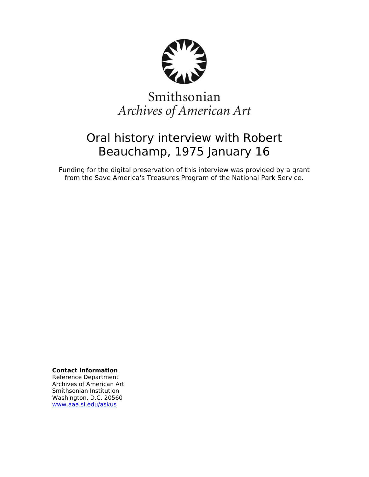

# Smithsonian Archives of American Art

## Oral history interview with Robert Beauchamp, 1975 January 16

Funding for the digital preservation of this interview was provided by a grant from the Save America's Treasures Program of the National Park Service.

**Contact Information**

Reference Department Archives of American Art Smithsonian Institution Washington. D.C. 20560 [www.aaa.si.edu/askus](http://www.aaa.si.edu/askus)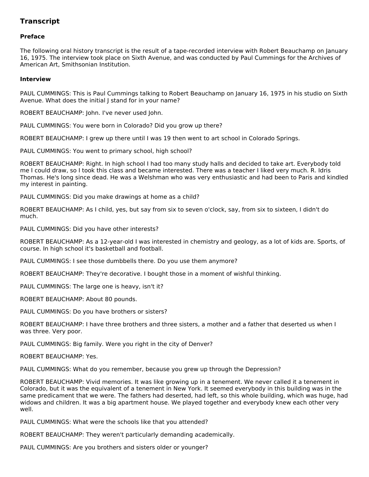## **Transcript**

### **Preface**

The following oral history transcript is the result of a tape-recorded interview with Robert Beauchamp on January 16, 1975. The interview took place on Sixth Avenue, and was conducted by Paul Cummings for the Archives of American Art, Smithsonian Institution.

#### **Interview**

PAUL CUMMINGS: This is Paul Cummings talking to Robert Beauchamp on January 16, 1975 in his studio on Sixth Avenue. What does the initial J stand for in your name?

ROBERT BEAUCHAMP: John. I've never used John.

PAUL CUMMINGS: You were born in Colorado? Did you grow up there?

ROBERT BEAUCHAMP: I grew up there until I was 19 then went to art school in Colorado Springs.

PAUL CUMMINGS: You went to primary school, high school?

ROBERT BEAUCHAMP: Right. In high school I had too many study halls and decided to take art. Everybody told me I could draw, so I took this class and became interested. There was a teacher I liked very much. R. Idris Thomas. He's long since dead. He was a Welshman who was very enthusiastic and had been to Paris and kindled my interest in painting.

PAUL CUMMINGS: Did you make drawings at home as a child?

ROBERT BEAUCHAMP: As I child, yes, but say from six to seven o'clock, say, from six to sixteen, I didn't do much.

PAUL CUMMINGS: Did you have other interests?

ROBERT BEAUCHAMP: As a 12-year-old I was interested in chemistry and geology, as a lot of kids are. Sports, of course. In high school it's basketball and football.

PAUL CUMMINGS: I see those dumbbells there. Do you use them anymore?

ROBERT BEAUCHAMP: They're decorative. I bought those in a moment of wishful thinking.

PAUL CUMMINGS: The large one is heavy, isn't it?

ROBERT BEAUCHAMP: About 80 pounds.

PAUL CUMMINGS: Do you have brothers or sisters?

ROBERT BEAUCHAMP: I have three brothers and three sisters, a mother and a father that deserted us when I was three. Very poor.

PAUL CUMMINGS: Big family. Were you right in the city of Denver?

ROBERT BEAUCHAMP: Yes.

PAUL CUMMINGS: What do you remember, because you grew up through the Depression?

ROBERT BEAUCHAMP: Vivid memories. It was like growing up in a tenement. We never called it a tenement in Colorado, but it was the equivalent of a tenement in New York. It seemed everybody in this building was in the same predicament that we were. The fathers had deserted, had left, so this whole building, which was huge, had widows and children. It was a big apartment house. We played together and everybody knew each other very well.

PAUL CUMMINGS: What were the schools like that you attended?

ROBERT BEAUCHAMP: They weren't particularly demanding academically.

PAUL CUMMINGS: Are you brothers and sisters older or younger?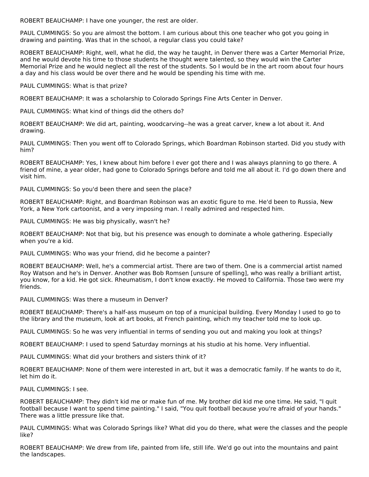ROBERT BEAUCHAMP: I have one younger, the rest are older.

PAUL CUMMINGS: So you are almost the bottom. I am curious about this one teacher who got you going in drawing and painting. Was that in the school, a regular class you could take?

ROBERT BEAUCHAMP: Right, well, what he did, the way he taught, in Denver there was a Carter Memorial Prize, and he would devote his time to those students he thought were talented, so they would win the Carter Memorial Prize and he would neglect all the rest of the students. So I would be in the art room about four hours a day and his class would be over there and he would be spending his time with me.

PAUL CUMMINGS: What is that prize?

ROBERT BEAUCHAMP: It was a scholarship to Colorado Springs Fine Arts Center in Denver.

PAUL CUMMINGS: What kind of things did the others do?

ROBERT BEAUCHAMP: We did art, painting, woodcarving--he was a great carver, knew a lot about it. And drawing.

PAUL CUMMINGS: Then you went off to Colorado Springs, which Boardman Robinson started. Did you study with him?

ROBERT BEAUCHAMP: Yes, I knew about him before I ever got there and I was always planning to go there. A friend of mine, a year older, had gone to Colorado Springs before and told me all about it. I'd go down there and visit him.

PAUL CUMMINGS: So you'd been there and seen the place?

ROBERT BEAUCHAMP: Right, and Boardman Robinson was an exotic figure to me. He'd been to Russia, New York, a New York cartoonist, and a very imposing man. I really admired and respected him.

PAUL CUMMINGS: He was big physically, wasn't he?

ROBERT BEAUCHAMP: Not that big, but his presence was enough to dominate a whole gathering. Especially when you're a kid.

PAUL CUMMINGS: Who was your friend, did he become a painter?

ROBERT BEAUCHAMP: Well, he's a commercial artist. There are two of them. One is a commercial artist named Roy Watson and he's in Denver. Another was Bob Romsen [unsure of spelling], who was really a brilliant artist, you know, for a kid. He got sick. Rheumatism, I don't know exactly. He moved to California. Those two were my friends.

PAUL CUMMINGS: Was there a museum in Denver?

ROBERT BEAUCHAMP: There's a half-ass museum on top of a municipal building. Every Monday I used to go to the library and the museum, look at art books, at French painting, which my teacher told me to look up.

PAUL CUMMINGS: So he was very influential in terms of sending you out and making you look at things?

ROBERT BEAUCHAMP: I used to spend Saturday mornings at his studio at his home. Very influential.

PAUL CUMMINGS: What did your brothers and sisters think of it?

ROBERT BEAUCHAMP: None of them were interested in art, but it was a democratic family. If he wants to do it, let him do it.

PAUL CUMMINGS: I see.

ROBERT BEAUCHAMP: They didn't kid me or make fun of me. My brother did kid me one time. He said, "I quit football because I want to spend time painting." I said, "You quit football because you're afraid of your hands." There was a little pressure like that.

PAUL CUMMINGS: What was Colorado Springs like? What did you do there, what were the classes and the people like?

ROBERT BEAUCHAMP: We drew from life, painted from life, still life. We'd go out into the mountains and paint the landscapes.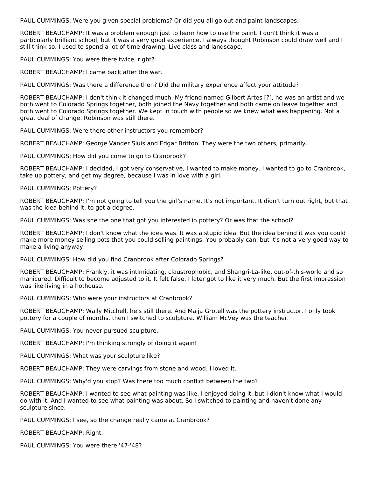PAUL CUMMINGS: Were you given special problems? Or did you all go out and paint landscapes.

ROBERT BEAUCHAMP: It was a problem enough just to learn how to use the paint. I don't think it was a particularly brilliant school, but it was a very good experience. I always thought Robinson could draw well and I still think so. I used to spend a lot of time drawing. Live class and landscape.

PAUL CUMMINGS: You were there twice, right?

ROBERT BEAUCHAMP: I came back after the war.

PAUL CUMMINGS: Was there a difference then? Did the military experience affect your attitude?

ROBERT BEAUCHAMP: I don't think it changed much. My friend named Gilbert Artes [?], he was an artist and we both went to Colorado Springs together, both joined the Navy together and both came on leave together and both went to Colorado Springs together. We kept in touch with people so we knew what was happening. Not a great deal of change. Robinson was still there.

PAUL CUMMINGS: Were there other instructors you remember?

ROBERT BEAUCHAMP: George Vander Sluis and Edgar Britton. They were the two others, primarily.

PAUL CUMMINGS: How did you come to go to Cranbrook?

ROBERT BEAUCHAMP: I decided, I got very conservative, I wanted to make money. I wanted to go to Cranbrook, take up pottery, and get my degree, because I was in love with a girl.

PAUL CUMMINGS: Pottery?

ROBERT BEAUCHAMP: I'm not going to tell you the girl's name. It's not important. It didn't turn out right, but that was the idea behind it, to get a degree.

PAUL CUMMINGS: Was she the one that got you interested in pottery? Or was that the school?

ROBERT BEAUCHAMP: I don't know what the idea was. It was a stupid idea. But the idea behind it was you could make more money selling pots that you could selling paintings. You probably can, but it's not a very good way to make a living anyway.

PAUL CUMMINGS: How did you find Cranbrook after Colorado Springs?

ROBERT BEAUCHAMP: Frankly, it was intimidating, claustrophobic, and Shangri-La-like, out-of-this-world and so manicured. Difficult to become adjusted to it. It felt false. I later got to like it very much. But the first impression was like living in a hothouse.

PAUL CUMMINGS: Who were your instructors at Cranbrook?

ROBERT BEAUCHAMP: Wally Mitchell, he's still there. And Maija Grotell was the pottery instructor. I only took pottery for a couple of months, then I switched to sculpture. William McVey was the teacher.

PAUL CUMMINGS: You never pursued sculpture.

ROBERT BEAUCHAMP: I'm thinking strongly of doing it again!

PAUL CUMMINGS: What was your sculpture like?

ROBERT BEAUCHAMP: They were carvings from stone and wood. I loved it.

PAUL CUMMINGS: Why'd you stop? Was there too much conflict between the two?

ROBERT BEAUCHAMP: I wanted to see what painting was like. I enjoyed doing it, but I didn't know what I would do with it. And I wanted to see what painting was about. So I switched to painting and haven't done any sculpture since.

PAUL CUMMINGS: I see, so the change really came at Cranbrook?

ROBERT BEAUCHAMP: Right.

PAUL CUMMINGS: You were there '47-'48?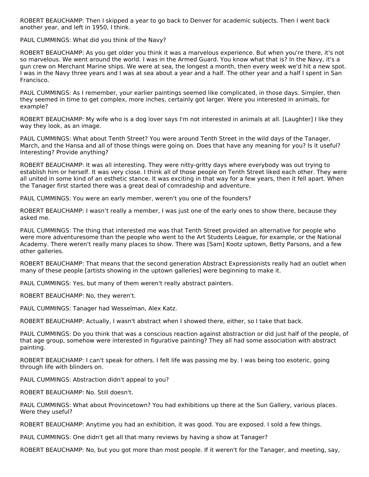ROBERT BEAUCHAMP: Then I skipped a year to go back to Denver for academic subjects. Then I went back another year, and left in 1950, I think.

PAUL CUMMINGS: What did you think of the Navy?

ROBERT BEAUCHAMP: As you get older you think it was a marvelous experience. But when you're there, it's not so marvelous. We went around the world. I was in the Armed Guard. You know what that is? In the Navy, it's a gun crew on Merchant Marine ships. We were at sea, the longest a month, then every week we'd hit a new spot. I was in the Navy three years and I was at sea about a year and a half. The other year and a half I spent in San Francisco.

PAUL CUMMINGS: As I remember, your earlier paintings seemed like complicated, in those days. Simpler, then they seemed in time to get complex, more inches, certainly got larger. Were you interested in animals, for example?

ROBERT BEAUCHAMP: My wife who is a dog lover says I'm not interested in animals at all. [Laughter] I like they way they look, as an image.

PAUL CUMMINGS: What about Tenth Street? You were around Tenth Street in the wild days of the Tanager, March, and the Hansa and all of those things were going on. Does that have any meaning for you? Is it useful? Interesting? Provide anything?

ROBERT BEAUCHAMP: It was all interesting. They were nitty-gritty days where everybody was out trying to establish him or herself. It was very close. I think all of those people on Tenth Street liked each other. They were all united in some kind of an esthetic stance. It was exciting in that way for a few years, then it fell apart. When the Tanager first started there was a great deal of comradeship and adventure.

PAUL CUMMINGS: You were an early member, weren't you one of the founders?

ROBERT BEAUCHAMP: I wasn't really a member, I was just one of the early ones to show there, because they asked me.

PAUL CUMMINGS: The thing that interested me was that Tenth Street provided an alternative for people who were more adventuresome than the people who went to the Art Students League, for example, or the National Academy. There weren't really many places to show. There was [Sam] Kootz uptown, Betty Parsons, and a few other galleries.

ROBERT BEAUCHAMP: That means that the second generation Abstract Expressionists really had an outlet when many of these people [artists showing in the uptown galleries] were beginning to make it.

PAUL CUMMINGS: Yes, but many of them weren't really abstract painters.

ROBERT BEAUCHAMP: No, they weren't.

PAUL CUMMINGS: Tanager had Wesselman, Alex Katz.

ROBERT BEAUCHAMP: Actually, I wasn't abstract when I showed there, either, so I take that back.

PAUL CUMMINGS: Do you think that was a conscious reaction against abstraction or did just half of the people, of that age group, somehow were interested in figurative painting? They all had some association with abstract painting.

ROBERT BEAUCHAMP: I can't speak for others. I felt life was passing me by. I was being too esoteric, going through life with blinders on.

PAUL CUMMINGS: Abstraction didn't appeal to you?

ROBERT BEAUCHAMP: No. Still doesn't.

PAUL CUMMINGS: What about Provincetown? You had exhibitions up there at the Sun Gallery, various places. Were they useful?

ROBERT BEAUCHAMP: Anytime you had an exhibition, it was good. You are exposed. I sold a few things.

PAUL CUMMINGS: One didn't get all that many reviews by having a show at Tanager?

ROBERT BEAUCHAMP: No, but you got more than most people. If it weren't for the Tanager, and meeting, say,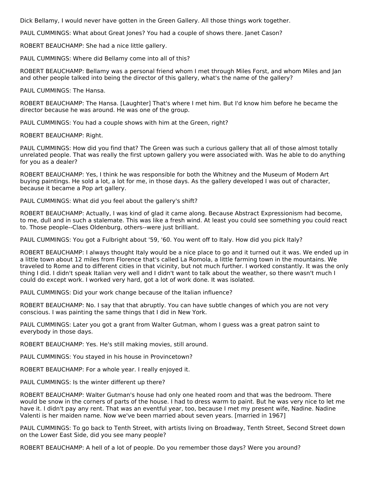Dick Bellamy, I would never have gotten in the Green Gallery. All those things work together.

PAUL CUMMINGS: What about Great Jones? You had a couple of shows there. Janet Cason?

ROBERT BEAUCHAMP: She had a nice little gallery.

PAUL CUMMINGS: Where did Bellamy come into all of this?

ROBERT BEAUCHAMP: Bellamy was a personal friend whom I met through Miles Forst, and whom Miles and Jan and other people talked into being the director of this gallery, what's the name of the gallery?

PAUL CUMMINGS: The Hansa.

ROBERT BEAUCHAMP: The Hansa. [Laughter] That's where I met him. But I'd know him before he became the director because he was around. He was one of the group.

PAUL CUMMINGS: You had a couple shows with him at the Green, right?

ROBERT BEAUCHAMP: Right.

PAUL CUMMINGS: How did you find that? The Green was such a curious gallery that all of those almost totally unrelated people. That was really the first uptown gallery you were associated with. Was he able to do anything for you as a dealer?

ROBERT BEAUCHAMP: Yes, I think he was responsible for both the Whitney and the Museum of Modern Art buying paintings. He sold a lot, a lot for me, in those days. As the gallery developed I was out of character, because it became a Pop art gallery.

PAUL CUMMINGS: What did you feel about the gallery's shift?

ROBERT BEAUCHAMP: Actually, I was kind of glad it came along. Because Abstract Expressionism had become, to me, dull and in such a stalemate. This was like a fresh wind. At least you could see something you could react to. Those people--Claes Oldenburg, others--were just brilliant.

PAUL CUMMINGS: You got a Fulbright about '59, '60. You went off to Italy. How did you pick Italy?

ROBERT BEAUCHAMP: I always thought Italy would be a nice place to go and it turned out it was. We ended up in a little town about 12 miles from Florence that's called La Romola, a little farming town in the mountains. We traveled to Rome and to different cities in that vicinity, but not much further. I worked constantly. It was the only thing I did. I didn't speak Italian very well and I didn't want to talk about the weather, so there wasn't much I could do except work. I worked very hard, got a lot of work done. It was isolated.

PAUL CUMMINGS: Did your work change because of the Italian influence?

ROBERT BEAUCHAMP: No. I say that that abruptly. You can have subtle changes of which you are not very conscious. I was painting the same things that I did in New York.

PAUL CUMMINGS: Later you got a grant from Walter Gutman, whom I guess was a great patron saint to everybody in those days.

ROBERT BEAUCHAMP: Yes. He's still making movies, still around.

PAUL CUMMINGS: You stayed in his house in Provincetown?

ROBERT BEAUCHAMP: For a whole year. I really enjoyed it.

PAUL CUMMINGS: Is the winter different up there?

ROBERT BEAUCHAMP: Walter Gutman's house had only one heated room and that was the bedroom. There would be snow in the corners of parts of the house. I had to dress warm to paint. But he was very nice to let me have it. I didn't pay any rent. That was an eventful year, too, because I met my present wife, Nadine. Nadine Valenti is her maiden name. Now we've been married about seven years. [married in 1967]

PAUL CUMMINGS: To go back to Tenth Street, with artists living on Broadway, Tenth Street, Second Street down on the Lower East Side, did you see many people?

ROBERT BEAUCHAMP: A hell of a lot of people. Do you remember those days? Were you around?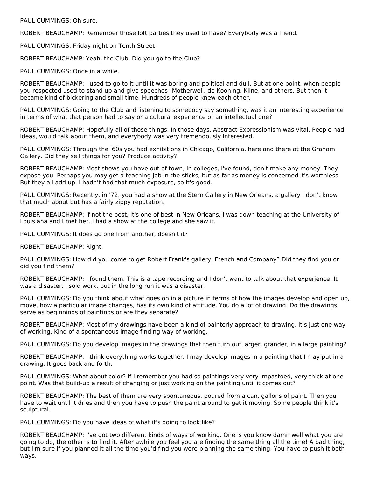PAUL CUMMINGS: Oh sure.

ROBERT BEAUCHAMP: Remember those loft parties they used to have? Everybody was a friend.

PAUL CUMMINGS: Friday night on Tenth Street!

ROBERT BEAUCHAMP: Yeah, the Club. Did you go to the Club?

PAUL CUMMINGS: Once in a while.

ROBERT BEAUCHAMP: I used to go to it until it was boring and political and dull. But at one point, when people you respected used to stand up and give speeches--Motherwell, de Kooning, Kline, and others. But then it became kind of bickering and small time. Hundreds of people knew each other.

PAUL CUMMINGS: Going to the Club and listening to somebody say something, was it an interesting experience in terms of what that person had to say or a cultural experience or an intellectual one?

ROBERT BEAUCHAMP: Hopefully all of those things. In those days, Abstract Expressionism was vital. People had ideas, would talk about them, and everybody was very tremendously interested.

PAUL CUMMINGS: Through the '60s you had exhibitions in Chicago, California, here and there at the Graham Gallery. Did they sell things for you? Produce activity?

ROBERT BEAUCHAMP: Most shows you have out of town, in colleges, I've found, don't make any money. They expose you. Perhaps you may get a teaching job in the sticks, but as far as money is concerned it's worthless. But they all add up. I hadn't had that much exposure, so it's good.

PAUL CUMMINGS: Recently, in '72, you had a show at the Stern Gallery in New Orleans, a gallery I don't know that much about but has a fairly zippy reputation.

ROBERT BEAUCHAMP: If not the best, it's one of best in New Orleans. I was down teaching at the University of Louisiana and I met her. I had a show at the college and she saw it.

PAUL CUMMINGS: It does go one from another, doesn't it?

ROBERT BEAUCHAMP: Right.

PAUL CUMMINGS: How did you come to get Robert Frank's gallery, French and Company? Did they find you or did you find them?

ROBERT BEAUCHAMP: I found them. This is a tape recording and I don't want to talk about that experience. It was a disaster. I sold work, but in the long run it was a disaster.

PAUL CUMMINGS: Do you think about what goes on in a picture in terms of how the images develop and open up, move, how a particular image changes, has its own kind of attitude. You do a lot of drawing. Do the drawings serve as beginnings of paintings or are they separate?

ROBERT BEAUCHAMP: Most of my drawings have been a kind of painterly approach to drawing. It's just one way of working. Kind of a spontaneous image finding way of working.

PAUL CUMMINGS: Do you develop images in the drawings that then turn out larger, grander, in a large painting?

ROBERT BEAUCHAMP: I think everything works together. I may develop images in a painting that I may put in a drawing. It goes back and forth.

PAUL CUMMINGS: What about color? If I remember you had so paintings very very impastoed, very thick at one point. Was that build-up a result of changing or just working on the painting until it comes out?

ROBERT BEAUCHAMP: The best of them are very spontaneous, poured from a can, gallons of paint. Then you have to wait until it dries and then you have to push the paint around to get it moving. Some people think it's sculptural.

PAUL CUMMINGS: Do you have ideas of what it's going to look like?

ROBERT BEAUCHAMP: I've got two different kinds of ways of working. One is you know damn well what you are going to do, the other is to find it. After awhile you feel you are finding the same thing all the time! A bad thing, but I'm sure if you planned it all the time you'd find you were planning the same thing. You have to push it both ways.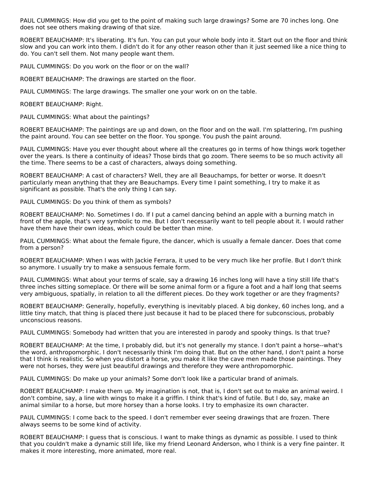PAUL CUMMINGS: How did you get to the point of making such large drawings? Some are 70 inches long. One does not see others making drawing of that size.

ROBERT BEAUCHAMP: It's liberating. It's fun. You can put your whole body into it. Start out on the floor and think slow and you can work into them. I didn't do it for any other reason other than it just seemed like a nice thing to do. You can't sell them. Not many people want them.

PAUL CUMMINGS: Do you work on the floor or on the wall?

ROBERT BEAUCHAMP: The drawings are started on the floor.

PAUL CUMMINGS: The large drawings. The smaller one your work on on the table.

ROBERT BEAUCHAMP: Right.

PAUL CUMMINGS: What about the paintings?

ROBERT BEAUCHAMP: The paintings are up and down, on the floor and on the wall. I'm splattering, I'm pushing the paint around. You can see better on the floor. You sponge. You push the paint around.

PAUL CUMMINGS: Have you ever thought about where all the creatures go in terms of how things work together over the years. Is there a continuity of ideas? Those birds that go zoom. There seems to be so much activity all the time. There seems to be a cast of characters, always doing something.

ROBERT BEAUCHAMP: A cast of characters? Well, they are all Beauchamps, for better or worse. It doesn't particularly mean anything that they are Beauchamps. Every time I paint something, I try to make it as significant as possible. That's the only thing I can say.

PAUL CUMMINGS: Do you think of them as symbols?

ROBERT BEAUCHAMP: No. Sometimes I do. If I put a camel dancing behind an apple with a burning match in front of the apple, that's very symbolic to me. But I don't necessarily want to tell people about it. I would rather have them have their own ideas, which could be better than mine.

PAUL CUMMINGS: What about the female figure, the dancer, which is usually a female dancer. Does that come from a person?

ROBERT BEAUCHAMP: When I was with Jackie Ferrara, it used to be very much like her profile. But I don't think so anymore. I usually try to make a sensuous female form.

PAUL CUMMINGS: What about your terms of scale, say a drawing 16 inches long will have a tiny still life that's three inches sitting someplace. Or there will be some animal form or a figure a foot and a half long that seems very ambiguous, spatially, in relation to all the different pieces. Do they work together or are they fragments?

ROBERT BEAUCHAMP: Generally, hopefully, everything is inevitably placed. A big donkey, 60 inches long, and a little tiny match, that thing is placed there just because it had to be placed there for subconscious, probably unconscious reasons.

PAUL CUMMINGS: Somebody had written that you are interested in parody and spooky things. Is that true?

ROBERT BEAUCHAMP: At the time, I probably did, but it's not generally my stance. I don't paint a horse--what's the word, anthropomorphic. I don't necessarily think I'm doing that. But on the other hand, I don't paint a horse that I think is realistic. So when you distort a horse, you make it like the cave men made those paintings. They were not horses, they were just beautiful drawings and therefore they were anthropomorphic.

PAUL CUMMINGS: Do make up your animals? Some don't look like a particular brand of animals.

ROBERT BEAUCHAMP: I make them up. My imagination is not, that is, I don't set out to make an animal weird. I don't combine, say, a line with wings to make it a griffin. I think that's kind of futile. But I do, say, make an animal similar to a horse, but more horsey than a horse looks. I try to emphasize its own character.

PAUL CUMMINGS: I come back to the speed. I don't remember ever seeing drawings that are frozen. There always seems to be some kind of activity.

ROBERT BEAUCHAMP: I guess that is conscious. I want to make things as dynamic as possible. I used to think that you couldn't make a dynamic still life, like my friend Leonard Anderson, who I think is a very fine painter. It makes it more interesting, more animated, more real.